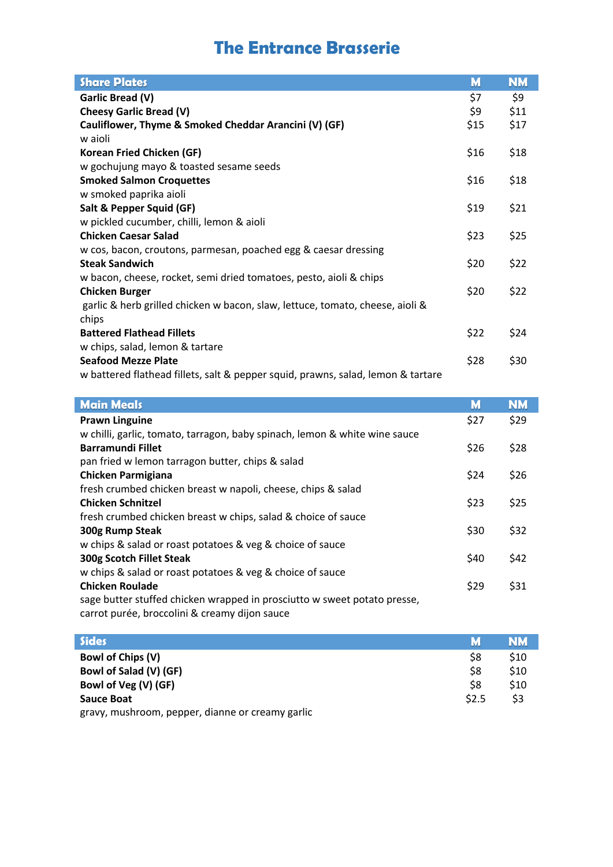## **The Entrance Brasserie**

| <b>Share Plates</b>                                                              | M    | <b>NM</b> |
|----------------------------------------------------------------------------------|------|-----------|
| Garlic Bread (V)                                                                 | \$7  | \$9       |
| <b>Cheesy Garlic Bread (V)</b>                                                   | \$9  | \$11      |
| Cauliflower, Thyme & Smoked Cheddar Arancini (V) (GF)                            | \$15 | \$17      |
| w aioli                                                                          |      |           |
| Korean Fried Chicken (GF)                                                        | \$16 | \$18      |
| w gochujung mayo & toasted sesame seeds                                          |      |           |
| <b>Smoked Salmon Croquettes</b>                                                  | \$16 | \$18      |
| w smoked paprika aioli                                                           |      |           |
| Salt & Pepper Squid (GF)                                                         | \$19 | \$21      |
| w pickled cucumber, chilli, lemon & aioli                                        |      |           |
| <b>Chicken Caesar Salad</b>                                                      | \$23 | \$25      |
| w cos, bacon, croutons, parmesan, poached egg & caesar dressing                  |      |           |
| <b>Steak Sandwich</b>                                                            | \$20 | \$22      |
| w bacon, cheese, rocket, semi dried tomatoes, pesto, aioli & chips               |      |           |
| <b>Chicken Burger</b>                                                            | \$20 | \$22      |
| garlic & herb grilled chicken w bacon, slaw, lettuce, tomato, cheese, aioli &    |      |           |
| chips                                                                            |      |           |
| <b>Battered Flathead Fillets</b>                                                 | \$22 | \$24      |
| w chips, salad, lemon & tartare                                                  |      |           |
| <b>Seafood Mezze Plate</b>                                                       | \$28 | \$30      |
| w battered flathead fillets, salt & pepper squid, prawns, salad, lemon & tartare |      |           |

| <b>Main Meals</b>                                                          | M    | <b>NM</b> |
|----------------------------------------------------------------------------|------|-----------|
| <b>Prawn Linguine</b>                                                      | \$27 | \$29      |
| w chilli, garlic, tomato, tarragon, baby spinach, lemon & white wine sauce |      |           |
| <b>Barramundi Fillet</b>                                                   | \$26 | \$28      |
| pan fried w lemon tarragon butter, chips & salad                           |      |           |
| <b>Chicken Parmigiana</b>                                                  | \$24 | \$26      |
| fresh crumbed chicken breast w napoli, cheese, chips & salad               |      |           |
| <b>Chicken Schnitzel</b>                                                   | \$23 | \$25      |
| fresh crumbed chicken breast w chips, salad & choice of sauce              |      |           |
| 300g Rump Steak                                                            | \$30 | \$32      |
| w chips & salad or roast potatoes & veg & choice of sauce                  |      |           |
| 300g Scotch Fillet Steak                                                   | \$40 | \$42      |
| w chips & salad or roast potatoes & veg & choice of sauce                  |      |           |
| <b>Chicken Roulade</b>                                                     | \$29 | \$31      |
| sage butter stuffed chicken wrapped in prosciutto w sweet potato presse,   |      |           |
| carrot purée, broccolini & creamy dijon sauce                              |      |           |
|                                                                            |      |           |

| <b>Sides</b>                                     | M     | <b>NM</b> |
|--------------------------------------------------|-------|-----------|
| <b>Bowl of Chips (V)</b>                         | \$8   | \$10      |
| Bowl of Salad (V) (GF)                           | \$8   | \$10      |
| Bowl of Veg (V) (GF)                             | \$8   | \$10      |
| Sauce Boat                                       | \$2.5 | \$3       |
| gravy, mushroom, pepper, dianne or creamy garlic |       |           |